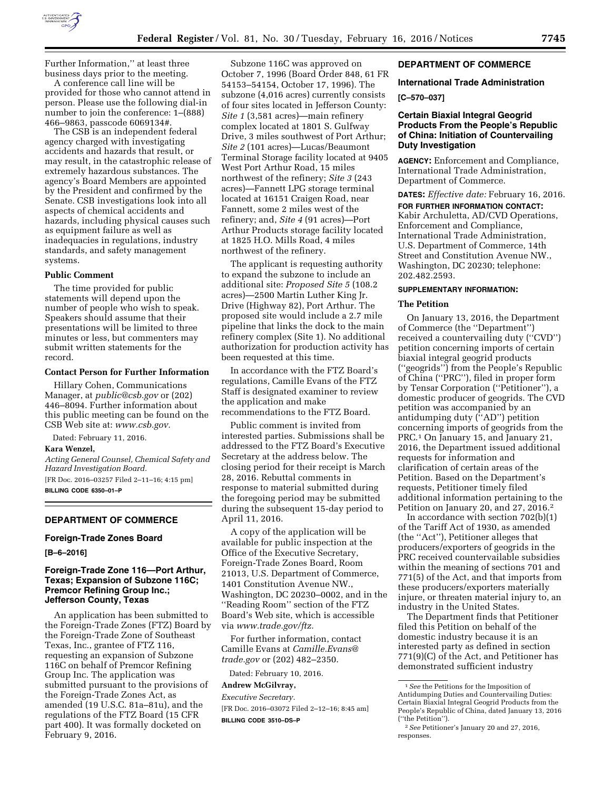

Further Information,'' at least three business days prior to the meeting.

A conference call line will be provided for those who cannot attend in person. Please use the following dial-in number to join the conference: 1–(888) 466–9863, passcode 6069134#.

The CSB is an independent federal agency charged with investigating accidents and hazards that result, or may result, in the catastrophic release of extremely hazardous substances. The agency's Board Members are appointed by the President and confirmed by the Senate. CSB investigations look into all aspects of chemical accidents and hazards, including physical causes such as equipment failure as well as inadequacies in regulations, industry standards, and safety management systems.

### **Public Comment**

The time provided for public statements will depend upon the number of people who wish to speak. Speakers should assume that their presentations will be limited to three minutes or less, but commenters may submit written statements for the record.

# **Contact Person for Further Information**

Hillary Cohen, Communications Manager, at *[public@csb.gov](mailto:public@csb.gov)* or (202) 446–8094. Further information about this public meeting can be found on the CSB Web site at: *[www.csb.gov.](http://www.csb.gov)* 

Dated: February 11, 2016.

### **Kara Wenzel,**

*Acting General Counsel, Chemical Safety and Hazard Investigation Board.*  [FR Doc. 2016–03257 Filed 2–11–16; 4:15 pm] **BILLING CODE 6350–01–P** 

#### **DEPARTMENT OF COMMERCE**

#### **Foreign-Trade Zones Board**

**[B–6–2016]** 

## **Foreign-Trade Zone 116—Port Arthur, Texas; Expansion of Subzone 116C; Premcor Refining Group Inc.; Jefferson County, Texas**

An application has been submitted to the Foreign-Trade Zones (FTZ) Board by the Foreign-Trade Zone of Southeast Texas, Inc., grantee of FTZ 116, requesting an expansion of Subzone 116C on behalf of Premcor Refining Group Inc. The application was submitted pursuant to the provisions of the Foreign-Trade Zones Act, as amended (19 U.S.C. 81a–81u), and the regulations of the FTZ Board (15 CFR part 400). It was formally docketed on February 9, 2016.

Subzone 116C was approved on October 7, 1996 (Board Order 848, 61 FR 54153–54154, October 17, 1996). The subzone (4,016 acres) currently consists of four sites located in Jefferson County: *Site 1* (3,581 acres)—main refinery complex located at 1801 S. Gulfway Drive, 3 miles southwest of Port Arthur; *Site 2* (101 acres)—Lucas/Beaumont Terminal Storage facility located at 9405 West Port Arthur Road, 15 miles northwest of the refinery; *Site 3* (243 acres)—Fannett LPG storage terminal located at 16151 Craigen Road, near Fannett, some 2 miles west of the refinery; and, *Site 4* (91 acres)—Port Arthur Products storage facility located at 1825 H.O. Mills Road, 4 miles northwest of the refinery.

The applicant is requesting authority to expand the subzone to include an additional site: *Proposed Site 5* (108.2 acres)—2500 Martin Luther King Jr. Drive (Highway 82), Port Arthur. The proposed site would include a 2.7 mile pipeline that links the dock to the main refinery complex (Site 1). No additional authorization for production activity has been requested at this time.

In accordance with the FTZ Board's regulations, Camille Evans of the FTZ Staff is designated examiner to review the application and make recommendations to the FTZ Board.

Public comment is invited from interested parties. Submissions shall be addressed to the FTZ Board's Executive Secretary at the address below. The closing period for their receipt is March 28, 2016. Rebuttal comments in response to material submitted during the foregoing period may be submitted during the subsequent 15-day period to April 11, 2016.

A copy of the application will be available for public inspection at the Office of the Executive Secretary, Foreign-Trade Zones Board, Room 21013, U.S. Department of Commerce, 1401 Constitution Avenue NW., Washington, DC 20230–0002, and in the ''Reading Room'' section of the FTZ Board's Web site, which is accessible via *[www.trade.gov/ftz.](http://www.trade.gov/ftz)* 

For further information, contact Camille Evans at *[Camille.Evans@](mailto:Camille.Evans@trade.gov) [trade.gov](mailto:Camille.Evans@trade.gov)* or (202) 482–2350.

Dated: February 10, 2016.

# **Andrew McGilvray,**

*Executive Secretary.*  [FR Doc. 2016–03072 Filed 2–12–16; 8:45 am]

**BILLING CODE 3510–DS–P** 

### **DEPARTMENT OF COMMERCE**

# **International Trade Administration**

**[C–570–037]** 

# **Certain Biaxial Integral Geogrid Products From the People's Republic of China: Initiation of Countervailing Duty Investigation**

**AGENCY:** Enforcement and Compliance, International Trade Administration, Department of Commerce.

**DATES:** *Effective date:* February 16, 2016.

**FOR FURTHER INFORMATION CONTACT:**  Kabir Archuletta, AD/CVD Operations, Enforcement and Compliance, International Trade Administration, U.S. Department of Commerce, 14th Street and Constitution Avenue NW., Washington, DC 20230; telephone: 202.482.2593.

### **SUPPLEMENTARY INFORMATION:**

#### **The Petition**

On January 13, 2016, the Department of Commerce (the ''Department'') received a countervailing duty (''CVD'') petition concerning imports of certain biaxial integral geogrid products (''geogrids'') from the People's Republic of China (''PRC''), filed in proper form by Tensar Corporation (''Petitioner''), a domestic producer of geogrids. The CVD petition was accompanied by an antidumping duty (''AD'') petition concerning imports of geogrids from the PRC.1 On January 15, and January 21, 2016, the Department issued additional requests for information and clarification of certain areas of the Petition. Based on the Department's requests, Petitioner timely filed additional information pertaining to the Petition on January 20, and 27, 2016.2

In accordance with section 702(b)(1) of the Tariff Act of 1930, as amended (the ''Act''), Petitioner alleges that producers/exporters of geogrids in the PRC received countervailable subsidies within the meaning of sections 701 and 771(5) of the Act, and that imports from these producers/exporters materially injure, or threaten material injury to, an industry in the United States.

The Department finds that Petitioner filed this Petition on behalf of the domestic industry because it is an interested party as defined in section 771(9)(C) of the Act, and Petitioner has demonstrated sufficient industry

<sup>1</sup>*See* the Petitions for the Imposition of Antidumping Duties and Countervailing Duties: Certain Biaxial Integral Geogrid Products from the People's Republic of China, dated January 13, 2016 (''the Petition'').

<sup>2</sup>*See* Petitioner's January 20 and 27, 2016, responses.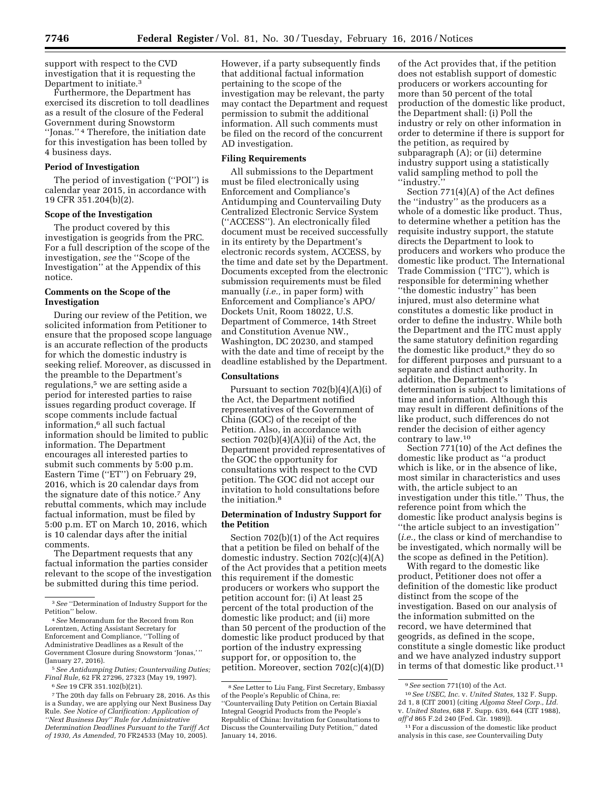support with respect to the CVD investigation that it is requesting the Department to initiate.3

Furthermore, the Department has exercised its discretion to toll deadlines as a result of the closure of the Federal Government during Snowstorm ''Jonas.'' 4 Therefore, the initiation date for this investigation has been tolled by 4 business days.

#### **Period of Investigation**

The period of investigation (''POI'') is calendar year 2015, in accordance with 19 CFR 351.204(b)(2).

#### **Scope of the Investigation**

The product covered by this investigation is geogrids from the PRC. For a full description of the scope of the investigation, *see* the ''Scope of the Investigation'' at the Appendix of this notice.

# **Comments on the Scope of the Investigation**

During our review of the Petition, we solicited information from Petitioner to ensure that the proposed scope language is an accurate reflection of the products for which the domestic industry is seeking relief. Moreover, as discussed in the preamble to the Department's regulations,<sup>5</sup> we are setting aside a period for interested parties to raise issues regarding product coverage. If scope comments include factual information,6 all such factual information should be limited to public information. The Department encourages all interested parties to submit such comments by 5:00 p.m. Eastern Time (''ET'') on February 29, 2016, which is 20 calendar days from the signature date of this notice.7 Any rebuttal comments, which may include factual information, must be filed by 5:00 p.m. ET on March 10, 2016, which is 10 calendar days after the initial comments.

The Department requests that any factual information the parties consider relevant to the scope of the investigation be submitted during this time period.

However, if a party subsequently finds that additional factual information pertaining to the scope of the investigation may be relevant, the party may contact the Department and request permission to submit the additional information. All such comments must be filed on the record of the concurrent AD investigation.

# **Filing Requirements**

All submissions to the Department must be filed electronically using Enforcement and Compliance's Antidumping and Countervailing Duty Centralized Electronic Service System (''ACCESS''). An electronically filed document must be received successfully in its entirety by the Department's electronic records system, ACCESS, by the time and date set by the Department. Documents excepted from the electronic submission requirements must be filed manually (*i.e.,* in paper form) with Enforcement and Compliance's APO/ Dockets Unit, Room 18022, U.S. Department of Commerce, 14th Street and Constitution Avenue NW., Washington, DC 20230, and stamped with the date and time of receipt by the deadline established by the Department.

# **Consultations**

Pursuant to section  $702(b)(4)(A)(i)$  of the Act, the Department notified representatives of the Government of China (GOC) of the receipt of the Petition. Also, in accordance with section  $702(b)(4)(A)(ii)$  of the Act, the Department provided representatives of the GOC the opportunity for consultations with respect to the CVD petition. The GOC did not accept our invitation to hold consultations before the initiation.8

# **Determination of Industry Support for the Petition**

Section 702(b)(1) of the Act requires that a petition be filed on behalf of the domestic industry. Section 702(c)(4)(A) of the Act provides that a petition meets this requirement if the domestic producers or workers who support the petition account for: (i) At least 25 percent of the total production of the domestic like product; and (ii) more than 50 percent of the production of the domestic like product produced by that portion of the industry expressing support for, or opposition to, the petition. Moreover, section 702(c)(4)(D)

of the Act provides that, if the petition does not establish support of domestic producers or workers accounting for more than 50 percent of the total production of the domestic like product, the Department shall: (i) Poll the industry or rely on other information in order to determine if there is support for the petition, as required by subparagraph (A); or (ii) determine industry support using a statistically valid sampling method to poll the ''industry.''

Section 771(4)(A) of the Act defines the ''industry'' as the producers as a whole of a domestic like product. Thus, to determine whether a petition has the requisite industry support, the statute directs the Department to look to producers and workers who produce the domestic like product. The International Trade Commission (''ITC''), which is responsible for determining whether ''the domestic industry'' has been injured, must also determine what constitutes a domestic like product in order to define the industry. While both the Department and the ITC must apply the same statutory definition regarding the domestic like product,<sup>9</sup> they do so for different purposes and pursuant to a separate and distinct authority. In addition, the Department's determination is subject to limitations of time and information. Although this may result in different definitions of the like product, such differences do not render the decision of either agency contrary to law.10

Section 771(10) of the Act defines the domestic like product as ''a product which is like, or in the absence of like, most similar in characteristics and uses with, the article subject to an investigation under this title.'' Thus, the reference point from which the domestic like product analysis begins is ''the article subject to an investigation'' (*i.e.,* the class or kind of merchandise to be investigated, which normally will be the scope as defined in the Petition).

With regard to the domestic like product, Petitioner does not offer a definition of the domestic like product distinct from the scope of the investigation. Based on our analysis of the information submitted on the record, we have determined that geogrids, as defined in the scope, constitute a single domestic like product and we have analyzed industry support in terms of that domestic like product.11

<sup>3</sup>*See* ''Determination of Industry Support for the Petition'' below.

<sup>4</sup>*See* Memorandum for the Record from Ron Lorentzen, Acting Assistant Secretary for Enforcement and Compliance, ''Tolling of Administrative Deadlines as a Result of the Government Closure during Snowstorm 'Jonas,' '' (January 27, 2016).

<sup>5</sup>*See Antidumping Duties; Countervailing Duties; Final Rule,* 62 FR 27296, 27323 (May 19, 1997).

<sup>6</sup>*See* 19 CFR 351.102(b)(21).

<sup>7</sup>The 20th day falls on February 28, 2016. As this is a Sunday, we are applying our Next Business Day Rule. *See Notice of Clarification: Application of ''Next Business Day'' Rule for Administrative Determination Deadlines Pursuant to the Tariff Act of 1930, As Amended,* 70 FR24533 (May 10, 2005).

<sup>8</sup>*See* Letter to Liu Fang, First Secretary, Embassy of the People's Republic of China, re:

<sup>&#</sup>x27;'Countervailing Duty Petition on Certain Biaxial Integral Geogrid Products from the People's Republic of China: Invitation for Consultations to Discuss the Countervailing Duty Petition,'' dated January 14, 2016.

<sup>9</sup>*See* section 771(10) of the Act.

<sup>10</sup>*See USEC, Inc.* v. *United States,* 132 F. Supp. 2d 1, 8 (CIT 2001) (citing *Algoma Steel Corp., Ltd.*  v. *United States,* 688 F. Supp. 639, 644 (CIT 1988), *aff'd* 865 F.2d 240 (Fed. Cir. 1989)).

<sup>11</sup>For a discussion of the domestic like product analysis in this case, *see* Countervailing Duty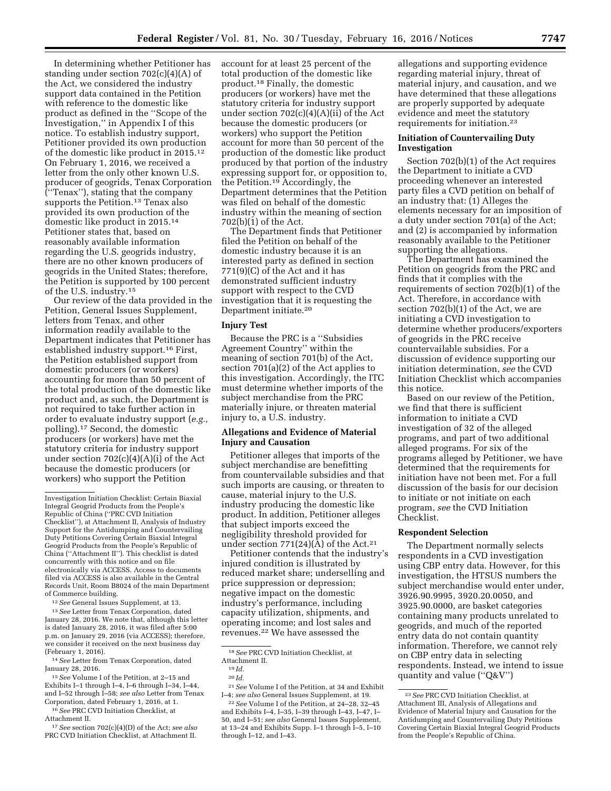In determining whether Petitioner has standing under section 702(c)(4)(A) of the Act, we considered the industry support data contained in the Petition with reference to the domestic like product as defined in the ''Scope of the Investigation,'' in Appendix I of this notice. To establish industry support, Petitioner provided its own production of the domestic like product in 2015.12 On February 1, 2016, we received a letter from the only other known U.S. producer of geogrids, Tenax Corporation (''Tenax''), stating that the company supports the Petition.<sup>13</sup> Tenax also provided its own production of the domestic like product in 2015.14 Petitioner states that, based on reasonably available information regarding the U.S. geogrids industry, there are no other known producers of geogrids in the United States; therefore, the Petition is supported by 100 percent of the U.S. industry.15

Our review of the data provided in the Petition, General Issues Supplement, letters from Tenax, and other information readily available to the Department indicates that Petitioner has established industry support.16 First, the Petition established support from domestic producers (or workers) accounting for more than 50 percent of the total production of the domestic like product and, as such, the Department is not required to take further action in order to evaluate industry support (*e.g.,*  polling).17 Second, the domestic producers (or workers) have met the statutory criteria for industry support under section 702(c)(4)(A)(i) of the Act because the domestic producers (or workers) who support the Petition

12*See* General Issues Supplement, at 13.

13*See* Letter from Tenax Corporation, dated January 28, 2016. We note that, although this letter is dated January 28, 2016, it was filed after 5:00 p.m. on January 29, 2016 (via ACCESS); therefore, we consider it received on the next business day (February 1, 2016).

14*See* Letter from Tenax Corporation, dated January 28, 2016.

15*See* Volume I of the Petition, at 2–15 and Exhibits I–1 through I–4, I–6 through I–34, I–44, and I–52 through I–58; *see also* Letter from Tenax Corporation, dated February 1, 2016, at 1.

16*See* PRC CVD Initiation Checklist, at Attachment II.

17*See* section 702(c)(4)(D) of the Act; *see also*  PRC CVD Initiation Checklist, at Attachment II.

account for at least 25 percent of the total production of the domestic like product.18 Finally, the domestic producers (or workers) have met the statutory criteria for industry support under section 702(c)(4)(A)(ii) of the Act because the domestic producers (or workers) who support the Petition account for more than 50 percent of the production of the domestic like product produced by that portion of the industry expressing support for, or opposition to, the Petition.19 Accordingly, the Department determines that the Petition was filed on behalf of the domestic industry within the meaning of section 702(b)(1) of the Act.

The Department finds that Petitioner filed the Petition on behalf of the domestic industry because it is an interested party as defined in section 771(9)(C) of the Act and it has demonstrated sufficient industry support with respect to the CVD investigation that it is requesting the Department initiate.20

### **Injury Test**

Because the PRC is a ''Subsidies Agreement Country'' within the meaning of section 701(b) of the Act, section 701(a)(2) of the Act applies to this investigation. Accordingly, the ITC must determine whether imports of the subject merchandise from the PRC materially injure, or threaten material injury to, a U.S. industry.

# **Allegations and Evidence of Material Injury and Causation**

Petitioner alleges that imports of the subject merchandise are benefitting from countervailable subsidies and that such imports are causing, or threaten to cause, material injury to the U.S. industry producing the domestic like product. In addition, Petitioner alleges that subject imports exceed the negligibility threshold provided for under section  $771(24)(A)$  of the Act.<sup>21</sup>

Petitioner contends that the industry's injured condition is illustrated by reduced market share; underselling and price suppression or depression; negative impact on the domestic industry's performance, including capacity utilization, shipments, and operating income; and lost sales and revenues.22 We have assessed the

18*See* PRC CVD Initiation Checklist, at Attachment II.

21*See* Volume I of the Petition, at 34 and Exhibit I–4; *see also* General Issues Supplement, at 19.

22*See* Volume I of the Petition, at 24–28, 32–45 and Exhibits I–4, I–35, I–39 through I–43, I–47, I– 50, and I–51; *see also* General Issues Supplement, at 13–24 and Exhibits Supp. I–1 through I–5, I–10 through I–12, and I–43.

allegations and supporting evidence regarding material injury, threat of material injury, and causation, and we have determined that these allegations are properly supported by adequate evidence and meet the statutory requirements for initiation.23

# **Initiation of Countervailing Duty Investigation**

Section 702(b)(1) of the Act requires the Department to initiate a CVD proceeding whenever an interested party files a CVD petition on behalf of an industry that: (1) Alleges the elements necessary for an imposition of a duty under section 701(a) of the Act; and (2) is accompanied by information reasonably available to the Petitioner supporting the allegations.

The Department has examined the Petition on geogrids from the PRC and finds that it complies with the requirements of section 702(b)(1) of the Act. Therefore, in accordance with section 702(b)(1) of the Act, we are initiating a CVD investigation to determine whether producers/exporters of geogrids in the PRC receive countervailable subsidies. For a discussion of evidence supporting our initiation determination, *see* the CVD Initiation Checklist which accompanies this notice.

Based on our review of the Petition, we find that there is sufficient information to initiate a CVD investigation of 32 of the alleged programs, and part of two additional alleged programs. For six of the programs alleged by Petitioner, we have determined that the requirements for initiation have not been met. For a full discussion of the basis for our decision to initiate or not initiate on each program, *see* the CVD Initiation Checklist.

# **Respondent Selection**

The Department normally selects respondents in a CVD investigation using CBP entry data. However, for this investigation, the HTSUS numbers the subject merchandise would enter under, 3926.90.9995, 3920.20.0050, and 3925.90.0000, are basket categories containing many products unrelated to geogrids, and much of the reported entry data do not contain quantity information. Therefore, we cannot rely on CBP entry data in selecting respondents. Instead, we intend to issue quantity and value (''Q&V'')

Investigation Initiation Checklist: Certain Biaxial Integral Geogrid Products from the People's Republic of China (''PRC CVD Initiation Checklist''), at Attachment II, Analysis of Industry Support for the Antidumping and Countervailing Duty Petitions Covering Certain Biaxial Integral Geogrid Products from the People's Republic of China (''Attachment II''). This checklist is dated concurrently with this notice and on file electronically via ACCESS. Access to documents filed via ACCESS is also available in the Central Records Unit, Room B8024 of the main Department of Commerce building.

<sup>19</sup> *Id.* 

<sup>20</sup> *Id.* 

<sup>23</sup>*See* PRC CVD Initiation Checklist, at Attachment III, Analysis of Allegations and Evidence of Material Injury and Causation for the Antidumping and Countervailing Duty Petitions Covering Certain Biaxial Integral Geogrid Products from the People's Republic of China.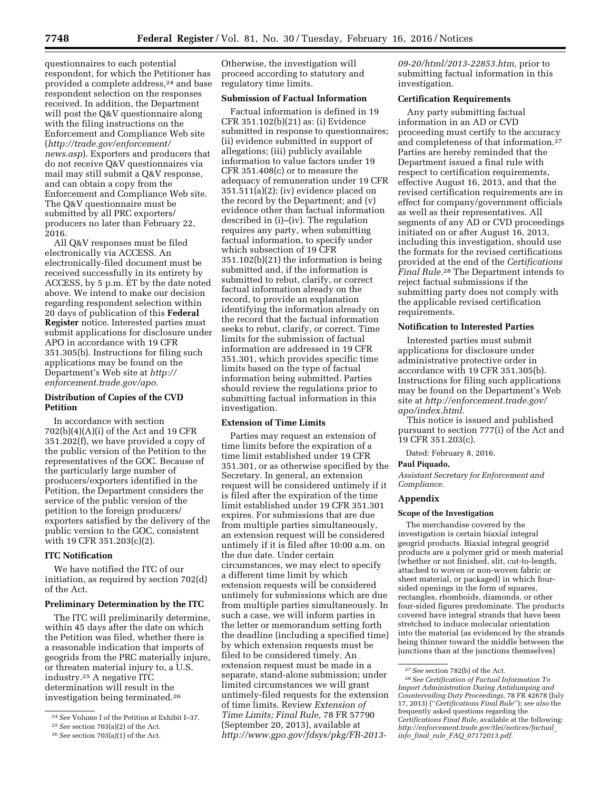questionnaires to each potential respondent, for which the Petitioner has provided a complete address,<sup>24</sup> and base respondent selection on the responses received. In addition, the Department will post the Q&V questionnaire along with the filing instructions on the Enforcement and Compliance Web site (*[http://trade.gov/enforcement/](http://trade.gov/enforcement/news.asp) [news.asp](http://trade.gov/enforcement/news.asp)*). Exporters and producers that do not receive Q&V questionnaires via mail may still submit a Q&V response, and can obtain a copy from the Enforcement and Compliance Web site. The Q&V questionnaire must be submitted by all PRC exporters/ producers no later than February 22, 2016.

All Q&V responses must be filed electronically via ACCESS. An electronically-filed document must be received successfully in its entirety by ACCESS, by 5 p.m. ET by the date noted above. We intend to make our decision regarding respondent selection within 20 days of publication of this **Federal Register** notice. Interested parties must submit applications for disclosure under APO in accordance with 19 CFR 351.305(b). Instructions for filing such applications may be found on the Department's Web site at *[http://](http://enforcement.trade.gov/apo) [enforcement.trade.gov/apo.](http://enforcement.trade.gov/apo)* 

# **Distribution of Copies of the CVD Petition**

In accordance with section 702(b)(4)(A)(i) of the Act and 19 CFR 351.202(f), we have provided a copy of the public version of the Petition to the representatives of the GOC. Because of the particularly large number of producers/exporters identified in the Petition, the Department considers the service of the public version of the petition to the foreign producers/ exporters satisfied by the delivery of the public version to the GOC, consistent with 19 CFR 351.203(c)(2).

# **ITC Notification**

We have notified the ITC of our initiation, as required by section 702(d) of the Act.

### **Preliminary Determination by the ITC**

The ITC will preliminarily determine, within 45 days after the date on which the Petition was filed, whether there is a reasonable indication that imports of geogrids from the PRC materially injure, or threaten material injury to, a U.S. industry.25 A negative ITC determination will result in the investigation being terminated.26

Otherwise, the investigation will proceed according to statutory and regulatory time limits.

# **Submission of Factual Information**

Factual information is defined in 19 CFR 351.102(b)(21) as: (i) Evidence submitted in response to questionnaires; (ii) evidence submitted in support of allegations; (iii) publicly available information to value factors under 19 CFR 351.408(c) or to measure the adequacy of remuneration under 19 CFR 351.511(a)(2); (iv) evidence placed on the record by the Department; and (v) evidence other than factual information described in (i)–(iv). The regulation requires any party, when submitting factual information, to specify under which subsection of 19 CFR 351.102(b)(21) the information is being submitted and, if the information is submitted to rebut, clarify, or correct factual information already on the record, to provide an explanation identifying the information already on the record that the factual information seeks to rebut, clarify, or correct. Time limits for the submission of factual information are addressed in 19 CFR 351.301, which provides specific time limits based on the type of factual information being submitted. Parties should review the regulations prior to submitting factual information in this investigation.

### **Extension of Time Limits**

Parties may request an extension of time limits before the expiration of a time limit established under 19 CFR 351.301, or as otherwise specified by the Secretary. In general, an extension request will be considered untimely if it is filed after the expiration of the time limit established under 19 CFR 351.301 expires. For submissions that are due from multiple parties simultaneously, an extension request will be considered untimely if it is filed after 10:00 a.m. on the due date. Under certain circumstances, we may elect to specify a different time limit by which extension requests will be considered untimely for submissions which are due from multiple parties simultaneously. In such a case, we will inform parties in the letter or memorandum setting forth the deadline (including a specified time) by which extension requests must be filed to be considered timely. An extension request must be made in a separate, stand-alone submission; under limited circumstances we will grant untimely-filed requests for the extension of time limits. Review *Extension of Time Limits; Final Rule,* 78 FR 57790 (September 20, 2013), available at *[http://www.gpo.gov/fdsys/pkg/FR-2013-](http://www.gpo.gov/fdsys/pkg/FR-2013-09-20/html/2013-22853.htm)*  *[09-20/html/2013-22853.htm,](http://www.gpo.gov/fdsys/pkg/FR-2013-09-20/html/2013-22853.htm)* prior to submitting factual information in this investigation.

### **Certification Requirements**

Any party submitting factual information in an AD or CVD proceeding must certify to the accuracy and completeness of that information.27 Parties are hereby reminded that the Department issued a final rule with respect to certification requirements, effective August 16, 2013, and that the revised certification requirements are in effect for company/government officials as well as their representatives. All segments of any AD or CVD proceedings initiated on or after August 16, 2013, including this investigation, should use the formats for the revised certifications provided at the end of the *Certifications Final Rule.*28 The Department intends to reject factual submissions if the submitting party does not comply with the applicable revised certification requirements.

# **Notification to Interested Parties**

Interested parties must submit applications for disclosure under administrative protective order in accordance with 19 CFR 351.305(b). Instructions for filing such applications may be found on the Department's Web site at *[http://enforcement.trade.gov/](http://enforcement.trade.gov/apo/index.html) [apo/index.html.](http://enforcement.trade.gov/apo/index.html)* 

This notice is issued and published pursuant to section 777(i) of the Act and 19 CFR 351.203(c).

Dated: February 8, 2016.

#### **Paul Piquado,**

*Assistant Secretary for Enforcement and Compliance.* 

# **Appendix**

#### **Scope of the Investigation**

The merchandise covered by the investigation is certain biaxial integral geogrid products. Biaxial integral geogrid products are a polymer grid or mesh material (whether or not finished, slit, cut-to-length, attached to woven or non-woven fabric or sheet material, or packaged) in which foursided openings in the form of squares, rectangles, rhomboids, diamonds, or other four-sided figures predominate. The products covered have integral strands that have been stretched to induce molecular orientation into the material (as evidenced by the strands being thinner toward the middle between the junctions than at the junctions themselves)

<sup>24</sup>*See* Volume I of the Petition at Exhibit I–37.

<sup>25</sup>*See* section 703(a)(2) of the Act.

<sup>26</sup>*See* section 703(a)(1) of the Act.

<sup>27</sup>*See* section 782(b) of the Act.

<sup>28</sup>*See Certification of Factual Information To Import Administration During Antidumping and Countervailing Duty Proceedings,* 78 FR 42678 (July 17, 2013) (''*Certifications Final Rule*''); *see also* the frequently asked questions regarding the *Certifications Final Rule,* available at the following: *[http://enforcement.trade.gov/tlei/notices/factual](http://enforcement.trade.gov/tlei/notices/factual_info_final_rule_FAQ_07172013.pdf)*\_ *info*\_*final*\_*rule*\_*FAQ*\_*[07172013.pdf.](http://enforcement.trade.gov/tlei/notices/factual_info_final_rule_FAQ_07172013.pdf)*